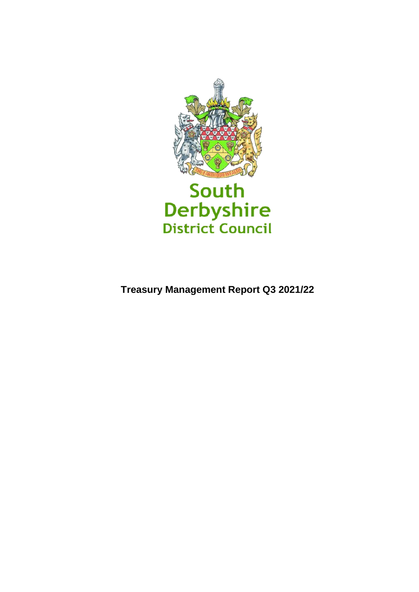

**Treasury Management Report Q3 2021/22**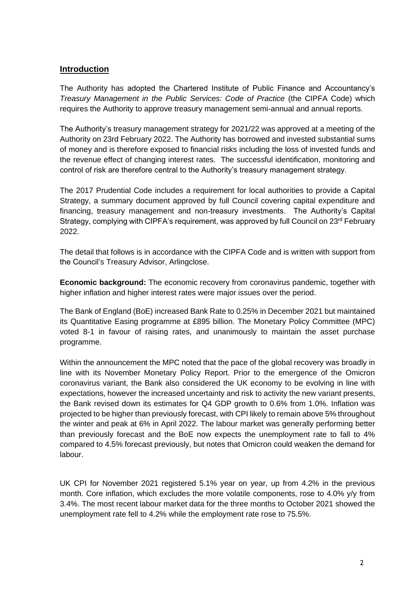## **Introduction**

The Authority has adopted the Chartered Institute of Public Finance and Accountancy's *Treasury Management in the Public Services: Code of Practice* (the CIPFA Code) which requires the Authority to approve treasury management semi-annual and annual reports.

The Authority's treasury management strategy for 2021/22 was approved at a meeting of the Authority on 23rd February 2022. The Authority has borrowed and invested substantial sums of money and is therefore exposed to financial risks including the loss of invested funds and the revenue effect of changing interest rates. The successful identification, monitoring and control of risk are therefore central to the Authority's treasury management strategy.

The 2017 Prudential Code includes a requirement for local authorities to provide a Capital Strategy, a summary document approved by full Council covering capital expenditure and financing, treasury management and non-treasury investments. The Authority's Capital Strategy, complying with CIPFA's requirement, was approved by full Council on 23<sup>rd</sup> February 2022.

The detail that follows is in accordance with the CIPFA Code and is written with support from the Council's Treasury Advisor, Arlingclose.

**Economic background:** The economic recovery from coronavirus pandemic, together with higher inflation and higher interest rates were major issues over the period.

The Bank of England (BoE) increased Bank Rate to 0.25% in December 2021 but maintained its Quantitative Easing programme at £895 billion. The Monetary Policy Committee (MPC) voted 8-1 in favour of raising rates, and unanimously to maintain the asset purchase programme.

Within the announcement the MPC noted that the pace of the global recovery was broadly in line with its November Monetary Policy Report. Prior to the emergence of the Omicron coronavirus variant, the Bank also considered the UK economy to be evolving in line with expectations, however the increased uncertainty and risk to activity the new variant presents, the Bank revised down its estimates for Q4 GDP growth to 0.6% from 1.0%. Inflation was projected to be higher than previously forecast, with CPI likely to remain above 5% throughout the winter and peak at 6% in April 2022. The labour market was generally performing better than previously forecast and the BoE now expects the unemployment rate to fall to 4% compared to 4.5% forecast previously, but notes that Omicron could weaken the demand for labour.

UK CPI for November 2021 registered 5.1% year on year, up from 4.2% in the previous month. Core inflation, which excludes the more volatile components, rose to 4.0% y/y from 3.4%. The most recent labour market data for the three months to October 2021 showed the unemployment rate fell to 4.2% while the employment rate rose to 75.5%.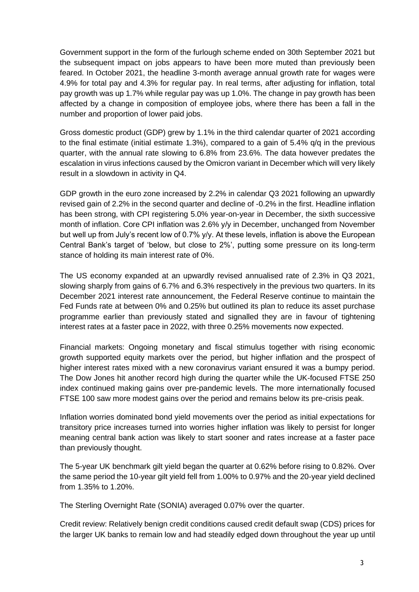Government support in the form of the furlough scheme ended on 30th September 2021 but the subsequent impact on jobs appears to have been more muted than previously been feared. In October 2021, the headline 3-month average annual growth rate for wages were 4.9% for total pay and 4.3% for regular pay. In real terms, after adjusting for inflation, total pay growth was up 1.7% while regular pay was up 1.0%. The change in pay growth has been affected by a change in composition of employee jobs, where there has been a fall in the number and proportion of lower paid jobs.

Gross domestic product (GDP) grew by 1.1% in the third calendar quarter of 2021 according to the final estimate (initial estimate 1.3%), compared to a gain of 5.4% q/q in the previous quarter, with the annual rate slowing to 6.8% from 23.6%. The data however predates the escalation in virus infections caused by the Omicron variant in December which will very likely result in a slowdown in activity in Q4.

GDP growth in the euro zone increased by 2.2% in calendar Q3 2021 following an upwardly revised gain of 2.2% in the second quarter and decline of -0.2% in the first. Headline inflation has been strong, with CPI registering 5.0% year-on-year in December, the sixth successive month of inflation. Core CPI inflation was 2.6% y/y in December, unchanged from November but well up from July's recent low of 0.7% y/y. At these levels, inflation is above the European Central Bank's target of 'below, but close to 2%', putting some pressure on its long-term stance of holding its main interest rate of 0%.

The US economy expanded at an upwardly revised annualised rate of 2.3% in Q3 2021, slowing sharply from gains of 6.7% and 6.3% respectively in the previous two quarters. In its December 2021 interest rate announcement, the Federal Reserve continue to maintain the Fed Funds rate at between 0% and 0.25% but outlined its plan to reduce its asset purchase programme earlier than previously stated and signalled they are in favour of tightening interest rates at a faster pace in 2022, with three 0.25% movements now expected.

Financial markets: Ongoing monetary and fiscal stimulus together with rising economic growth supported equity markets over the period, but higher inflation and the prospect of higher interest rates mixed with a new coronavirus variant ensured it was a bumpy period. The Dow Jones hit another record high during the quarter while the UK-focused FTSE 250 index continued making gains over pre-pandemic levels. The more internationally focused FTSE 100 saw more modest gains over the period and remains below its pre-crisis peak.

Inflation worries dominated bond yield movements over the period as initial expectations for transitory price increases turned into worries higher inflation was likely to persist for longer meaning central bank action was likely to start sooner and rates increase at a faster pace than previously thought.

The 5-year UK benchmark gilt yield began the quarter at 0.62% before rising to 0.82%. Over the same period the 10-year gilt yield fell from 1.00% to 0.97% and the 20-year yield declined from 1.35% to 1.20%.

The Sterling Overnight Rate (SONIA) averaged 0.07% over the quarter.

Credit review: Relatively benign credit conditions caused credit default swap (CDS) prices for the larger UK banks to remain low and had steadily edged down throughout the year up until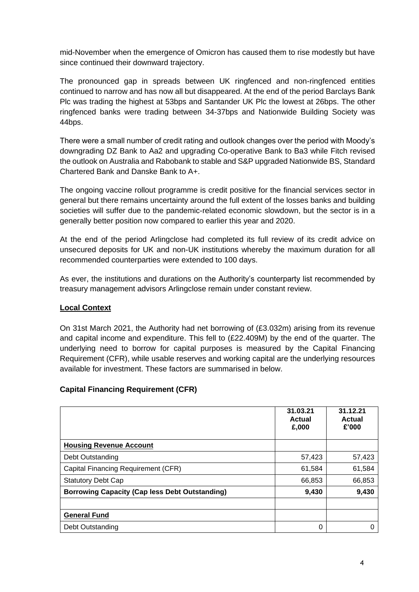mid-November when the emergence of Omicron has caused them to rise modestly but have since continued their downward trajectory.

The pronounced gap in spreads between UK ringfenced and non-ringfenced entities continued to narrow and has now all but disappeared. At the end of the period Barclays Bank Plc was trading the highest at 53bps and Santander UK Plc the lowest at 26bps. The other ringfenced banks were trading between 34-37bps and Nationwide Building Society was 44bps.

There were a small number of credit rating and outlook changes over the period with Moody's downgrading DZ Bank to Aa2 and upgrading Co-operative Bank to Ba3 while Fitch revised the outlook on Australia and Rabobank to stable and S&P upgraded Nationwide BS, Standard Chartered Bank and Danske Bank to A+.

The ongoing vaccine rollout programme is credit positive for the financial services sector in general but there remains uncertainty around the full extent of the losses banks and building societies will suffer due to the pandemic-related economic slowdown, but the sector is in a generally better position now compared to earlier this year and 2020.

At the end of the period Arlingclose had completed its full review of its credit advice on unsecured deposits for UK and non-UK institutions whereby the maximum duration for all recommended counterparties were extended to 100 days.

As ever, the institutions and durations on the Authority's counterparty list recommended by treasury management advisors Arlingclose remain under constant review.

### **Local Context**

On 31st March 2021, the Authority had net borrowing of (£3.032m) arising from its revenue and capital income and expenditure. This fell to (£22.409M) by the end of the quarter. The underlying need to borrow for capital purposes is measured by the Capital Financing Requirement (CFR), while usable reserves and working capital are the underlying resources available for investment. These factors are summarised in below.

#### **Capital Financing Requirement (CFR)**

|                                                       | 31.03.21<br>Actual<br>£,000 | 31.12.21<br>Actual<br>£'000 |
|-------------------------------------------------------|-----------------------------|-----------------------------|
| <b>Housing Revenue Account</b>                        |                             |                             |
| Debt Outstanding                                      | 57,423                      | 57,423                      |
| Capital Financing Requirement (CFR)                   | 61,584                      | 61,584                      |
| <b>Statutory Debt Cap</b>                             | 66,853                      | 66,853                      |
| <b>Borrowing Capacity (Cap less Debt Outstanding)</b> | 9,430                       | 9,430                       |
|                                                       |                             |                             |
| <b>General Fund</b>                                   |                             |                             |
| Debt Outstanding                                      | 0                           | 0                           |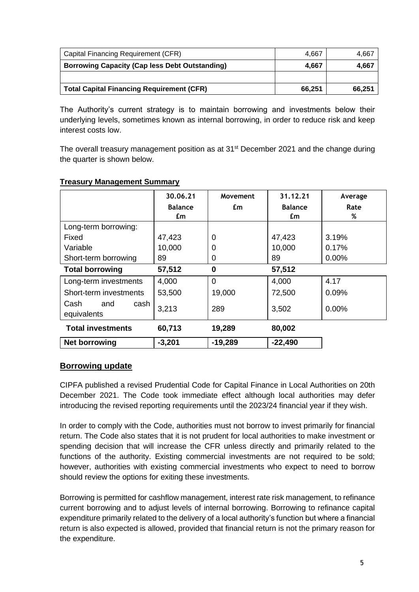| Capital Financing Requirement (CFR)                   | 4.667  | 4,667  |
|-------------------------------------------------------|--------|--------|
| <b>Borrowing Capacity (Cap less Debt Outstanding)</b> | 4.667  | 4,667  |
|                                                       |        |        |
| <b>Total Capital Financing Requirement (CFR)</b>      | 66.251 | 66,251 |

The Authority's current strategy is to maintain borrowing and investments below their underlying levels, sometimes known as internal borrowing, in order to reduce risk and keep interest costs low.

The overall treasury management position as at 31<sup>st</sup> December 2021 and the change during the quarter is shown below.

|                                    | 30.06.21<br><b>Balance</b><br>£m | Movement<br>£m | 31.12.21<br><b>Balance</b><br>£m | Average<br>Rate<br>% |
|------------------------------------|----------------------------------|----------------|----------------------------------|----------------------|
| Long-term borrowing:               |                                  |                |                                  |                      |
| Fixed                              | 47,423                           | 0              | 47,423                           | 3.19%                |
| Variable                           | 10,000                           | 0              | 10,000                           | 0.17%                |
| Short-term borrowing               | 89                               | 0              | 89                               | 0.00%                |
| <b>Total borrowing</b>             | 57,512                           | 0              | 57,512                           |                      |
| Long-term investments              | 4,000                            | $\Omega$       | 4,000                            | 4.17                 |
| Short-term investments             | 53,500                           | 19,000         | 72,500                           | 0.09%                |
| Cash<br>and<br>cash<br>equivalents | 3,213                            | 289            | 3,502                            | 0.00%                |
| <b>Total investments</b>           | 60,713                           | 19,289         | 80,002                           |                      |
| <b>Net borrowing</b>               | $-3,201$                         | $-19,289$      | $-22,490$                        |                      |

#### **Treasury Management Summary**

### **Borrowing update**

CIPFA published a revised Prudential Code for Capital Finance in Local Authorities on 20th December 2021. The Code took immediate effect although local authorities may defer introducing the revised reporting requirements until the 2023/24 financial year if they wish.

In order to comply with the Code, authorities must not borrow to invest primarily for financial return. The Code also states that it is not prudent for local authorities to make investment or spending decision that will increase the CFR unless directly and primarily related to the functions of the authority. Existing commercial investments are not required to be sold; however, authorities with existing commercial investments who expect to need to borrow should review the options for exiting these investments.

Borrowing is permitted for cashflow management, interest rate risk management, to refinance current borrowing and to adjust levels of internal borrowing. Borrowing to refinance capital expenditure primarily related to the delivery of a local authority's function but where a financial return is also expected is allowed, provided that financial return is not the primary reason for the expenditure.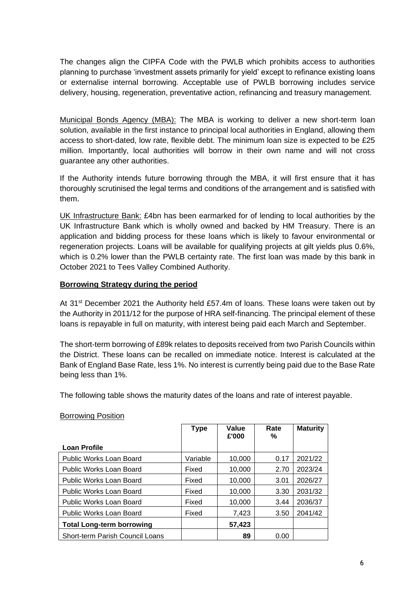The changes align the CIPFA Code with the PWLB which prohibits access to authorities planning to purchase 'investment assets primarily for yield' except to refinance existing loans or externalise internal borrowing. Acceptable use of PWLB borrowing includes service delivery, housing, regeneration, preventative action, refinancing and treasury management.

Municipal Bonds Agency (MBA): The MBA is working to deliver a new short-term loan solution, available in the first instance to principal local authorities in England, allowing them access to short-dated, low rate, flexible debt. The minimum loan size is expected to be £25 million. Importantly, local authorities will borrow in their own name and will not cross guarantee any other authorities.

If the Authority intends future borrowing through the MBA, it will first ensure that it has thoroughly scrutinised the legal terms and conditions of the arrangement and is satisfied with them.

UK Infrastructure Bank: £4bn has been earmarked for of lending to local authorities by the UK Infrastructure Bank which is wholly owned and backed by HM Treasury. There is an application and bidding process for these loans which is likely to favour environmental or regeneration projects. Loans will be available for qualifying projects at gilt yields plus 0.6%, which is 0.2% lower than the PWLB certainty rate. The first loan was made by this bank in October 2021 to Tees Valley Combined Authority.

#### **Borrowing Strategy during the period**

At 31<sup>st</sup> December 2021 the Authority held £57.4m of loans. These loans were taken out by the Authority in 2011/12 for the purpose of HRA self-financing. The principal element of these loans is repayable in full on maturity, with interest being paid each March and September.

The short-term borrowing of £89k relates to deposits received from two Parish Councils within the District. These loans can be recalled on immediate notice. Interest is calculated at the Bank of England Base Rate, less 1%. No interest is currently being paid due to the Base Rate being less than 1%.

The following table shows the maturity dates of the loans and rate of interest payable.

|                                        | <b>Type</b> | Value<br>£'000 | Rate<br>℅ | <b>Maturity</b> |
|----------------------------------------|-------------|----------------|-----------|-----------------|
| <b>Loan Profile</b>                    |             |                |           |                 |
| Public Works Loan Board                | Variable    | 10.000         | 0.17      | 2021/22         |
| Public Works Loan Board                | Fixed       | 10,000         | 2.70      | 2023/24         |
| Public Works Loan Board                | Fixed       | 10,000         | 3.01      | 2026/27         |
| Public Works Loan Board                | Fixed       | 10.000         | 3.30      | 2031/32         |
| Public Works Loan Board                | Fixed       | 10.000         | 3.44      | 2036/37         |
| Public Works Loan Board                | Fixed       | 7,423          | 3.50      | 2041/42         |
| <b>Total Long-term borrowing</b>       |             | 57,423         |           |                 |
| <b>Short-term Parish Council Loans</b> |             | 89             | 0.00      |                 |

#### Borrowing Position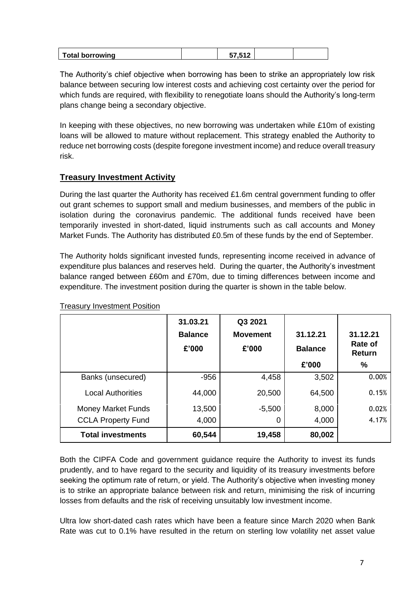| Total borro<br>borrowing |  |  |  |
|--------------------------|--|--|--|
|--------------------------|--|--|--|

The Authority's chief objective when borrowing has been to strike an appropriately low risk balance between securing low interest costs and achieving cost certainty over the period for which funds are required, with flexibility to renegotiate loans should the Authority's long-term plans change being a secondary objective.

In keeping with these objectives, no new borrowing was undertaken while £10m of existing loans will be allowed to mature without replacement. This strategy enabled the Authority to reduce net borrowing costs (despite foregone investment income) and reduce overall treasury risk.

## **Treasury Investment Activity**

During the last quarter the Authority has received £1.6m central government funding to offer out grant schemes to support small and medium businesses, and members of the public in isolation during the coronavirus pandemic. The additional funds received have been temporarily invested in short-dated, liquid instruments such as call accounts and Money Market Funds. The Authority has distributed £0.5m of these funds by the end of September.

The Authority holds significant invested funds, representing income received in advance of expenditure plus balances and reserves held. During the quarter, the Authority's investment balance ranged between £60m and £70m, due to timing differences between income and expenditure. The investment position during the quarter is shown in the table below.

|                           | 31.03.21<br><b>Balance</b><br>£'000 | Q3 2021<br><b>Movement</b><br>£'000 | 31.12.21<br><b>Balance</b> | 31.12.21<br>Rate of<br><b>Return</b> |
|---------------------------|-------------------------------------|-------------------------------------|----------------------------|--------------------------------------|
|                           |                                     |                                     | £'000                      | %                                    |
| Banks (unsecured)         | $-956$                              | 4,458                               | 3,502                      | 0.00%                                |
| <b>Local Authorities</b>  | 44,000                              | 20,500                              | 64,500                     | 0.15%                                |
| <b>Money Market Funds</b> | 13,500                              | $-5,500$                            | 8,000                      | 0.02%                                |
| <b>CCLA Property Fund</b> | 4,000                               | 0                                   | 4,000                      | 4.17%                                |
| <b>Total investments</b>  | 60,544                              | 19,458                              | 80,002                     |                                      |

Treasury Investment Position

Both the CIPFA Code and government guidance require the Authority to invest its funds prudently, and to have regard to the security and liquidity of its treasury investments before seeking the optimum rate of return, or yield. The Authority's objective when investing money is to strike an appropriate balance between risk and return, minimising the risk of incurring losses from defaults and the risk of receiving unsuitably low investment income.

Ultra low short-dated cash rates which have been a feature since March 2020 when Bank Rate was cut to 0.1% have resulted in the return on sterling low volatility net asset value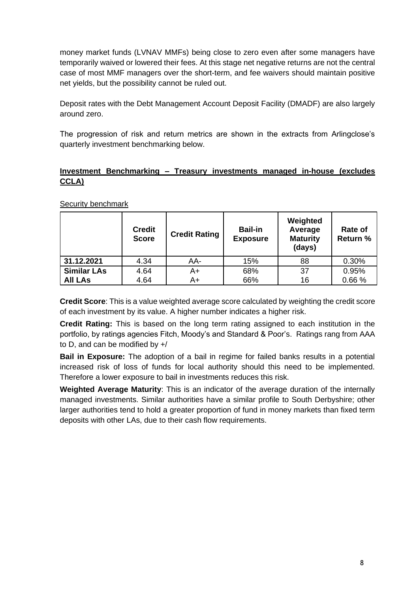money market funds (LVNAV MMFs) being close to zero even after some managers have temporarily waived or lowered their fees. At this stage net negative returns are not the central case of most MMF managers over the short-term, and fee waivers should maintain positive net yields, but the possibility cannot be ruled out.

Deposit rates with the Debt Management Account Deposit Facility (DMADF) are also largely around zero.

The progression of risk and return metrics are shown in the extracts from Arlingclose's quarterly investment benchmarking below.

### **Investment Benchmarking – Treasury investments managed in-house (excludes CCLA)**

|                    | <b>Credit</b><br><b>Score</b> | <b>Credit Rating</b> | <b>Bail-in</b><br><b>Exposure</b> | Weighted<br>Average<br><b>Maturity</b><br>(days) | Rate of<br><b>Return %</b> |
|--------------------|-------------------------------|----------------------|-----------------------------------|--------------------------------------------------|----------------------------|
| 31.12.2021         | 4.34                          | AA-                  | 15%                               | 88                                               | 0.30%                      |
| <b>Similar LAs</b> | 4.64                          | A+                   | 68%                               | 37                                               | 0.95%                      |
| <b>All LAs</b>     | 4.64                          | A+                   | 66%                               | 16                                               | 0.66%                      |

Security benchmark

**Credit Score**: This is a value weighted average score calculated by weighting the credit score of each investment by its value. A higher number indicates a higher risk.

**Credit Rating:** This is based on the long term rating assigned to each institution in the portfolio, by ratings agencies Fitch, Moody's and Standard & Poor's. Ratings rang from AAA to D, and can be modified by +/

**Bail in Exposure:** The adoption of a bail in regime for failed banks results in a potential increased risk of loss of funds for local authority should this need to be implemented. Therefore a lower exposure to bail in investments reduces this risk.

**Weighted Average Maturity**: This is an indicator of the average duration of the internally managed investments. Similar authorities have a similar profile to South Derbyshire; other larger authorities tend to hold a greater proportion of fund in money markets than fixed term deposits with other LAs, due to their cash flow requirements.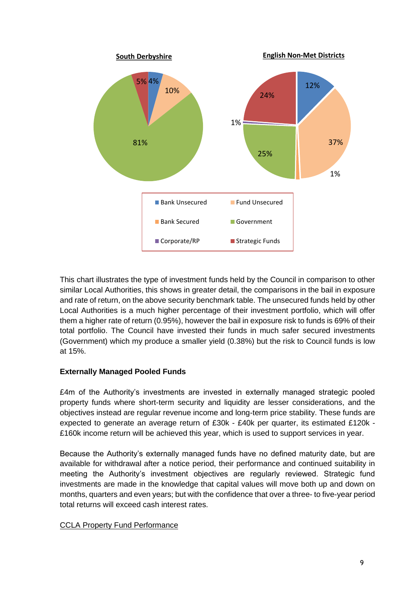

This chart illustrates the type of investment funds held by the Council in comparison to other similar Local Authorities, this shows in greater detail, the comparisons in the bail in exposure and rate of return, on the above security benchmark table. The unsecured funds held by other Local Authorities is a much higher percentage of their investment portfolio, which will offer them a higher rate of return (0.95%), however the bail in exposure risk to funds is 69% of their total portfolio. The Council have invested their funds in much safer secured investments (Government) which my produce a smaller yield (0.38%) but the risk to Council funds is low at 15%.

### **Externally Managed Pooled Funds**

£4m of the Authority's investments are invested in externally managed strategic pooled property funds where short-term security and liquidity are lesser considerations, and the objectives instead are regular revenue income and long-term price stability. These funds are expected to generate an average return of £30k - £40k per quarter, its estimated £120k - £160k income return will be achieved this year, which is used to support services in year.

Because the Authority's externally managed funds have no defined maturity date, but are available for withdrawal after a notice period, their performance and continued suitability in meeting the Authority's investment objectives are regularly reviewed. Strategic fund investments are made in the knowledge that capital values will move both up and down on months, quarters and even years; but with the confidence that over a three- to five-year period total returns will exceed cash interest rates.

### CCLA Property Fund Performance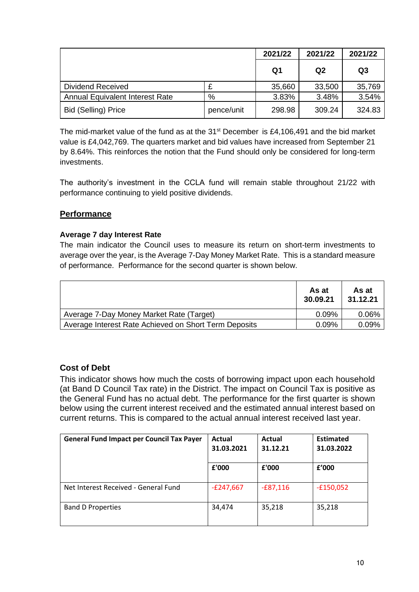|                                        |            | 2021/22 | 2021/22 | 2021/22        |
|----------------------------------------|------------|---------|---------|----------------|
|                                        |            | Q1      | Q2      | Q <sub>3</sub> |
| Dividend Received                      | £          | 35,660  | 33,500  | 35,769         |
| <b>Annual Equivalent Interest Rate</b> | %          | 3.83%   | 3.48%   | 3.54%          |
| <b>Bid (Selling) Price</b>             | pence/unit | 298.98  | 309.24  | 324.83         |

The mid-market value of the fund as at the  $31<sup>st</sup>$  December is £4,106,491 and the bid market value is £4,042,769. The quarters market and bid values have increased from September 21 by 8.64%. This reinforces the notion that the Fund should only be considered for long-term investments.

The authority's investment in the CCLA fund will remain stable throughout 21/22 with performance continuing to yield positive dividends.

## **Performance**

### **Average 7 day Interest Rate**

The main indicator the Council uses to measure its return on short-term investments to average over the year, is the Average 7-Day Money Market Rate. This is a standard measure of performance. Performance for the second quarter is shown below.

|                                                       | As at<br>30.09.21 | As at<br>31.12.21 |
|-------------------------------------------------------|-------------------|-------------------|
| Average 7-Day Money Market Rate (Target)              | 0.09%             | 0.06%             |
| Average Interest Rate Achieved on Short Term Deposits | 0.09%             | 0.09%             |

# **Cost of Debt**

This indicator shows how much the costs of borrowing impact upon each household (at Band D Council Tax rate) in the District. The impact on Council Tax is positive as the General Fund has no actual debt. The performance for the first quarter is shown below using the current interest received and the estimated annual interest based on current returns. This is compared to the actual annual interest received last year.

| <b>General Fund Impact per Council Tax Payer</b> | Actual<br>31.03.2021 | Actual<br>31.12.21 | <b>Estimated</b><br>31.03.2022 |
|--------------------------------------------------|----------------------|--------------------|--------------------------------|
|                                                  | £'000                | £'000              | £'000                          |
| Net Interest Received - General Fund             | $-E247,667$          | $-£87,116$         | $-£150,052$                    |
| <b>Band D Properties</b>                         | 34,474               | 35,218             | 35,218                         |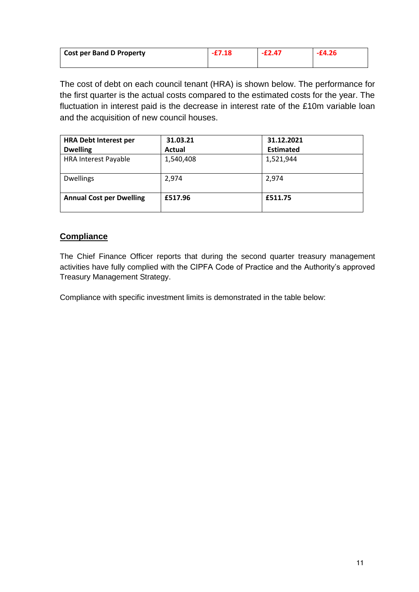| <b>Cost per Band D Property</b> | $-E2.47$ |  |
|---------------------------------|----------|--|
|                                 |          |  |

The cost of debt on each council tenant (HRA) is shown below. The performance for the first quarter is the actual costs compared to the estimated costs for the year. The fluctuation in interest paid is the decrease in interest rate of the £10m variable loan and the acquisition of new council houses.

| <b>HRA Debt Interest per</b>    | 31.03.21  | 31.12.2021       |
|---------------------------------|-----------|------------------|
| <b>Dwelling</b>                 | Actual    | <b>Estimated</b> |
| <b>HRA Interest Payable</b>     | 1,540,408 | 1,521,944        |
| <b>Dwellings</b>                | 2,974     | 2,974            |
| <b>Annual Cost per Dwelling</b> | £517.96   | £511.75          |

# **Compliance**

The Chief Finance Officer reports that during the second quarter treasury management activities have fully complied with the CIPFA Code of Practice and the Authority's approved Treasury Management Strategy.

Compliance with specific investment limits is demonstrated in the table below: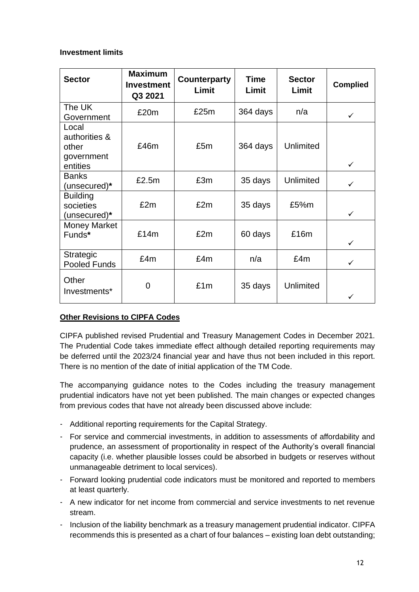#### **Investment limits**

| <b>Sector</b>                                             | <b>Maximum</b><br><b>Investment</b><br>Q3 2021 | Counterparty<br>Limit | <b>Time</b><br>Limit | <b>Sector</b><br>Limit | <b>Complied</b> |
|-----------------------------------------------------------|------------------------------------------------|-----------------------|----------------------|------------------------|-----------------|
| The UK<br>Government                                      | £20m                                           | £25m                  | 364 days             | n/a                    | $\checkmark$    |
| Local<br>authorities &<br>other<br>government<br>entities | £46m                                           | £5m                   | 364 days             | Unlimited              | $\checkmark$    |
| <b>Banks</b><br>(unsecured)*                              | £2.5m                                          | £3m                   | 35 days              | <b>Unlimited</b>       | $\checkmark$    |
| <b>Building</b><br>societies<br>(unsecured)*              | £2m                                            | £2m                   | 35 days              | £5%m                   | $\checkmark$    |
| <b>Money Market</b><br>Funds*                             | £14m                                           | £2m                   | 60 days              | £16m                   | $\checkmark$    |
| Strategic<br>Pooled Funds                                 | £4m                                            | £4m                   | n/a                  | £4m                    | $\checkmark$    |
| Other<br>Investments*                                     | 0                                              | £1m                   | 35 days              | Unlimited              |                 |

### **Other Revisions to CIPFA Codes**

CIPFA published revised Prudential and Treasury Management Codes in December 2021. The Prudential Code takes immediate effect although detailed reporting requirements may be deferred until the 2023/24 financial year and have thus not been included in this report. There is no mention of the date of initial application of the TM Code.

The accompanying guidance notes to the Codes including the treasury management prudential indicators have not yet been published. The main changes or expected changes from previous codes that have not already been discussed above include:

- Additional reporting requirements for the Capital Strategy.
- For service and commercial investments, in addition to assessments of affordability and prudence, an assessment of proportionality in respect of the Authority's overall financial capacity (i.e. whether plausible losses could be absorbed in budgets or reserves without unmanageable detriment to local services).
- Forward looking prudential code indicators must be monitored and reported to members at least quarterly.
- A new indicator for net income from commercial and service investments to net revenue stream.
- Inclusion of the liability benchmark as a treasury management prudential indicator. CIPFA recommends this is presented as a chart of four balances – existing loan debt outstanding;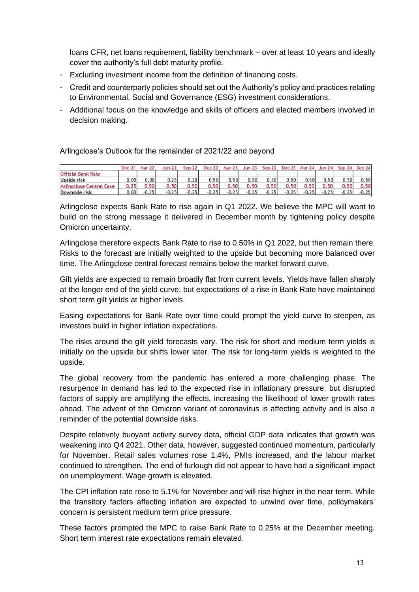loans CFR, net loans requirement, liability benchmark – over at least 10 years and ideally cover the authority's full debt maturity profile.

- Excluding investment income from the definition of financing costs.
- Credit and counterparty policies should set out the Authority's policy and practices relating to Environmental, Social and Governance (ESG) investment considerations.
- Additional focus on the knowledge and skills of officers and elected members involved in decision making.

Arlingclose's Outlook for the remainder of 2021/22 and beyond

|                           | Dec-21 | Mar-22  | Jun-22  | $Sep-22$ | Dec-22  | Mar-23  | Jun-23  | $Sep-23$ | $Dec-23$ |         | Mar-24 Jun-24 |         | $Sep-24$ $Dec-24$ |
|---------------------------|--------|---------|---------|----------|---------|---------|---------|----------|----------|---------|---------------|---------|-------------------|
| <b>Official Bank Rate</b> |        |         |         |          |         |         |         |          |          |         |               |         |                   |
| <b>Upside risk</b>        | 0.00   | ا 00.   | 0.25    | 0.25     | 0.50    | 0.50    | 0.50    | 0.50     | 0.50     | 0.50    | 0.50          | 0.50    | 0.50              |
| Arlingclose Central Case  | 0.25   | 0.50    | 0.50    | 0.50     | 0.50    | 0.50    | 0.50    | 0.50     | 0.50     | 0.50    | 0.50          | 0.50    | 0.50              |
| Downside risk             | 0.00   | $-0.25$ | $-0.25$ | $-0.25$  | $-0.25$ | $-0.25$ | $-0.25$ | $-0.25$  | $-0.25$  | $-0.25$ | $-0.25$       | $-0.25$ | $-0.25$           |

Arlingclose expects Bank Rate to rise again in Q1 2022. We believe the MPC will want to build on the strong message it delivered in December month by tightening policy despite Omicron uncertainty.

Arlingclose therefore expects Bank Rate to rise to 0.50% in Q1 2022, but then remain there. Risks to the forecast are initially weighted to the upside but becoming more balanced over time. The Arlingclose central forecast remains below the market forward curve.

Gilt yields are expected to remain broadly flat from current levels. Yields have fallen sharply at the longer end of the yield curve, but expectations of a rise in Bank Rate have maintained short term gilt yields at higher levels.

Easing expectations for Bank Rate over time could prompt the yield curve to steepen, as investors build in higher inflation expectations.

The risks around the gilt yield forecasts vary. The risk for short and medium term yields is initially on the upside but shifts lower later. The risk for long-term yields is weighted to the upside.

The global recovery from the pandemic has entered a more challenging phase. The resurgence in demand has led to the expected rise in inflationary pressure, but disrupted factors of supply are amplifying the effects, increasing the likelihood of lower growth rates ahead. The advent of the Omicron variant of coronavirus is affecting activity and is also a reminder of the potential downside risks.

Despite relatively buoyant activity survey data, official GDP data indicates that growth was weakening into Q4 2021. Other data, however, suggested continued momentum, particularly for November. Retail sales volumes rose 1.4%, PMIs increased, and the labour market continued to strengthen. The end of furlough did not appear to have had a significant impact on unemployment. Wage growth is elevated.

The CPI inflation rate rose to 5.1% for November and will rise higher in the near term. While the transitory factors affecting inflation are expected to unwind over time, policymakers' concern is persistent medium term price pressure.

These factors prompted the MPC to raise Bank Rate to 0.25% at the December meeting. Short term interest rate expectations remain elevated.